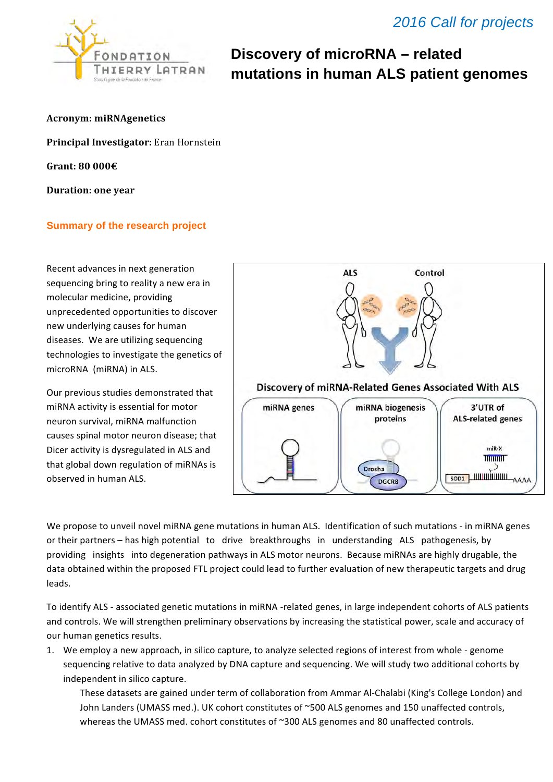

# **Discovery of microRNA – related mutations in human ALS patient genomes**

**Acronym: miRNAgenetics** 

**Principal Investigator:** Eran Hornstein

**Grant: 80 000€** 

**Duration:** one year

### **Summary of the research project**

Recent advances in next generation sequencing bring to reality a new era in molecular medicine, providing unprecedented opportunities to discover new underlying causes for human diseases. We are utilizing sequencing technologies to investigate the genetics of microRNA (miRNA) in ALS.

Our previous studies demonstrated that miRNA activity is essential for motor neuron survival, miRNA malfunction causes spinal motor neuron disease; that Dicer activity is dysregulated in ALS and that global down regulation of miRNAs is observed in human ALS.



We propose to unveil novel miRNA gene mutations in human ALS. Identification of such mutations - in miRNA genes or their partners – has high potential to drive breakthroughs in understanding ALS pathogenesis, by providing insights into degeneration pathways in ALS motor neurons. Because miRNAs are highly drugable, the data obtained within the proposed FTL project could lead to further evaluation of new therapeutic targets and drug leads. 

To identify ALS - associated genetic mutations in miRNA -related genes, in large independent cohorts of ALS patients and controls. We will strengthen preliminary observations by increasing the statistical power, scale and accuracy of our human genetics results.

1. We employ a new approach, in silico capture, to analyze selected regions of interest from whole - genome sequencing relative to data analyzed by DNA capture and sequencing. We will study two additional cohorts by independent in silico capture.

These datasets are gained under term of collaboration from Ammar Al-Chalabi (King's College London) and John Landers (UMASS med.). UK cohort constitutes of ~500 ALS genomes and 150 unaffected controls, whereas the UMASS med. cohort constitutes of ~300 ALS genomes and 80 unaffected controls.